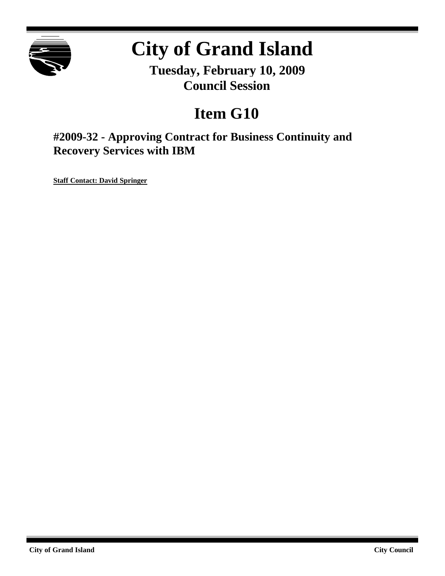

# **City of Grand Island**

**Tuesday, February 10, 2009 Council Session**

## **Item G10**

**#2009-32 - Approving Contract for Business Continuity and Recovery Services with IBM**

**Staff Contact: David Springer**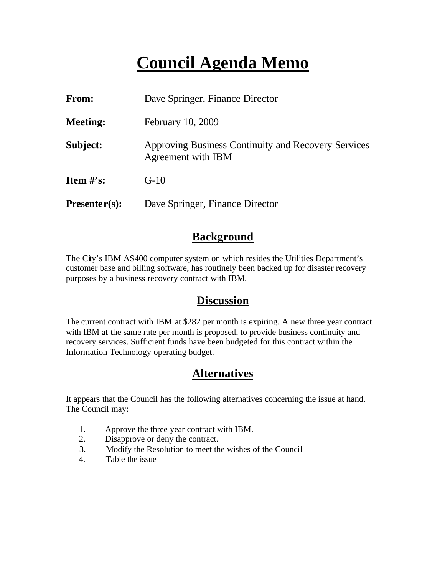## **Council Agenda Memo**

| <b>From:</b>    | Dave Springer, Finance Director                                           |  |
|-----------------|---------------------------------------------------------------------------|--|
| <b>Meeting:</b> | February 10, 2009                                                         |  |
| Subject:        | Approving Business Continuity and Recovery Services<br>Agreement with IBM |  |
| Item $\#$ 's:   | $G-10$                                                                    |  |
| $Presenter(s):$ | Dave Springer, Finance Director                                           |  |

### **Background**

The City's IBM AS400 computer system on which resides the Utilities Department's customer base and billing software, has routinely been backed up for disaster recovery purposes by a business recovery contract with IBM.

### **Discussion**

The current contract with IBM at \$282 per month is expiring. A new three year contract with IBM at the same rate per month is proposed, to provide business continuity and recovery services. Sufficient funds have been budgeted for this contract within the Information Technology operating budget.

## **Alternatives**

It appears that the Council has the following alternatives concerning the issue at hand. The Council may:

- 1. Approve the three year contract with IBM.
- 2. Disapprove or deny the contract.
- 3. Modify the Resolution to meet the wishes of the Council
- 4. Table the issue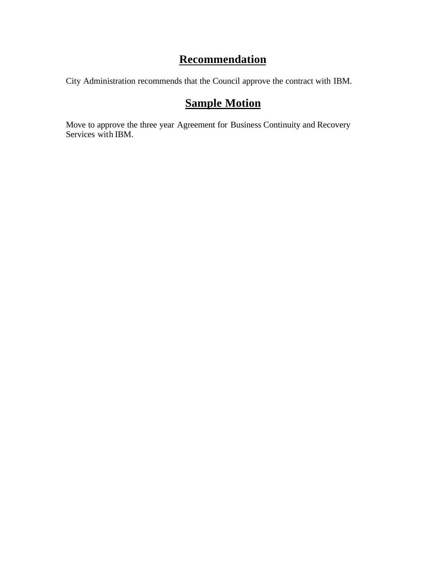## **Recommendation**

City Administration recommends that the Council approve the contract with IBM.

## **Sample Motion**

Move to approve the three year Agreement for Business Continuity and Recovery Services with IBM.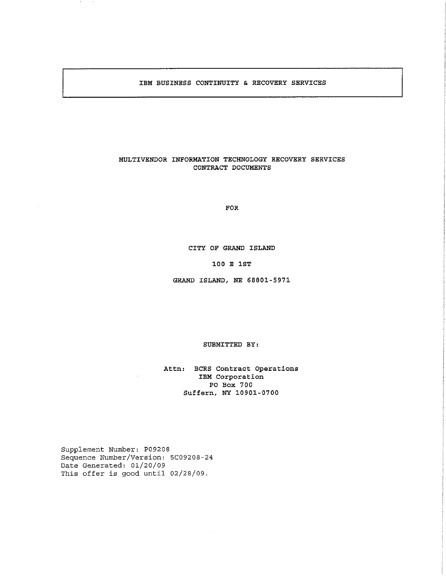#### IBM BUSINESS CONTINUITY & RECOVERY SERVICES

#### MULTIVENDOR INFORMATION TECHNOLOGY RECOVERY SERVICES CONTRACT DOCUMENTS

**FOR** 

#### CITY OF GRAND ISLAND

#### 100 E 1ST

GRAND ISLAND, NE 68801-5971

#### SUBMITTED BY:

Attn: BCRS Contract Operations IBM Corporation PO Box 700 Suffern, NY 10901-0700

Supplement Number: P09208 Sequence Number/Version: 5C09208-24 Date Generated: 01/20/09 This offer is good until 02/28/09.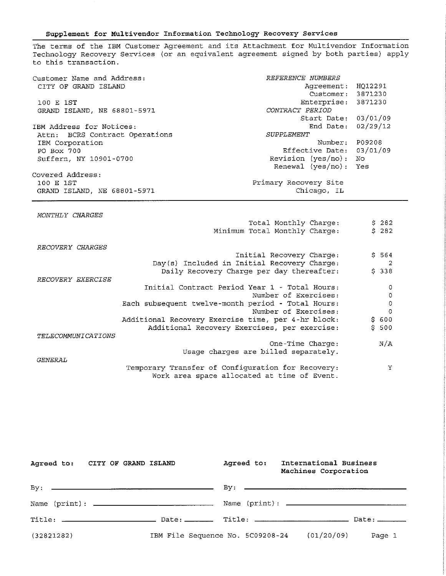#### Supplement for Multivendor Information Technology Recovery Services

The terms of the IBM Customer Agreement and its Attachment for Multivendor Information Technology Recovery Services (or an equivalent agreement signed by both parties) apply to this transaction.

| Customer Name and Address:     | REFERENCE NUMBERS        |     |
|--------------------------------|--------------------------|-----|
| CITY OF GRAND ISLAND           | Agreement: HQ12291       |     |
|                                | Customer: 3871230        |     |
| 100 E 1ST                      | Enterprise: 3871230      |     |
| GRAND ISLAND, NE 68801-5971    | CONTRACT PERIOD          |     |
|                                | Start Date: 03/01/09     |     |
| IBM Address for Notices:       | End Date: 02/29/12       |     |
| Attn: BCRS Contract Operations | SUPPLEMENT               |     |
| IBM Corporation                | Number: P09208           |     |
| PO Box 700                     | Effective Date: 03/01/09 |     |
| Suffern, NY 10901-0700         | Revision (yes/no):       | No. |
|                                | Renewal $(yes/no)$ : Yes |     |
| Covered Address:               |                          |     |
| 100 E 1ST                      | Primary Recovery Site    |     |
| GRAND ISLAND, NE 68801-5971    | Chicago, IL              |     |

MONTHLY CHARGES

|                    | Total Monthly Charge:<br>Minimum Total Monthly Charge:                                           | \$282<br>\$282          |
|--------------------|--------------------------------------------------------------------------------------------------|-------------------------|
| RECOVERY CHARGES   |                                                                                                  |                         |
|                    | Initial Recovery Charge:                                                                         | \$564                   |
|                    | Day(s) Included in Initial Recovery Charge:                                                      | $\overline{\mathbf{c}}$ |
|                    | Daily Recovery Charge per day thereafter:                                                        | \$338                   |
| RECOVERY EXERCISE  |                                                                                                  |                         |
|                    | Initial Contract Period Year 1 - Total Hours:                                                    | 0                       |
|                    | Number of Exercises:                                                                             | 0                       |
|                    | Each subsequent twelve-month period - Total Hours:                                               | 0                       |
|                    | Number of Exercises:                                                                             | $\circ$                 |
|                    | Additional Recovery Exercise time, per 4-hr block:                                               | \$600                   |
|                    | Additional Recovery Exercises, per exercise:                                                     | \$500                   |
| TELECOMMUNICATIONS |                                                                                                  |                         |
|                    | One-Time Charge:                                                                                 | N/A                     |
|                    | Usage charges are billed separately.                                                             |                         |
| <i>GENERAL</i>     |                                                                                                  |                         |
|                    | Temporary Transfer of Configuration for Recovery:<br>Work area space allocated at time of Event. | Y                       |

| Agreed to: CITY OF GRAND ISLAND |  |                                  | Agreed to: | International Business<br>Machines Corporation |        |
|---------------------------------|--|----------------------------------|------------|------------------------------------------------|--------|
|                                 |  |                                  |            |                                                |        |
|                                 |  |                                  |            |                                                |        |
|                                 |  |                                  |            |                                                |        |
| (32821282)                      |  | IBM File Sequence No. 5C09208-24 |            | (01/20/09)                                     | Page 1 |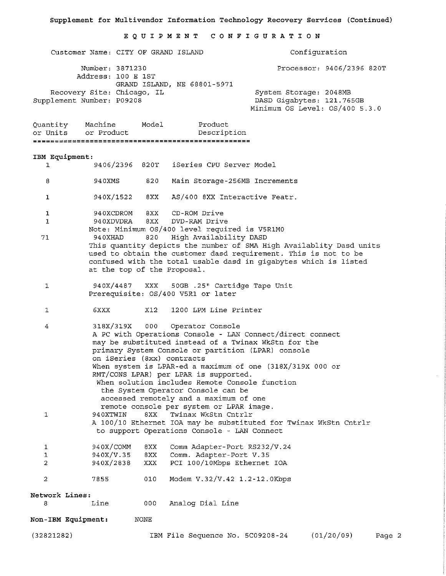#### EQUIPMENT CONFIGURATION

Customer Name: CITY OF GRAND ISLAND Configuration Number: 3871230 Processor: 9406/2396 820T Address: 100 E 1ST GRAND ISLAND, NE 68801-5971 Recovery Site: Chicago, IL System Storage: 2048MB Supplement Number: P09208 DASD Gigabytes: 121.765GB Minimum OS Level: OS/400 5.3.0 Ouantity Machine Model Product or Units or Product Description IBM Equipment: iSeries CPU Server Model  $\mathbf{1}$ 9406/2396 820T 8 940XMS 820 Main Storage-256MB Increments AS/400 8XX Interactive Featr.  $\mathbf{1}$ 940X/1522 8XX  $\mathbf{1}$ 940XCDROM 8XX CD-ROM Drive 940XDVDRA 8XX DVD-RAM Drive  $\mathbf{1}$ Note: Minimum OS/400 level required is V5R1M0  $71$ 940XHAD 820 High Availability DASD This quantity depicts the number of SMA High Availablity Dasd units used to obtain the customer dasd requirement. This is not to be confused with the total usable dasd in gigabytes which is listed at the top of the Proposal. 940X/4487 XXX 50GB .25" Cartidge Tape Unit  $\mathbf{1}$ Prerequisite: OS/400 V5R1 or later 1200 LPM Line Printer **6XXX**  $X12$  $\mathbf{I}$ 318X/319X 000 Operator Console 4 A PC with Operations Console - LAN Connect/direct connect may be substituted instead of a Twinax WkStn for the primary System Console or partition (LPAR) console on iSeries (8xx) contracts When system is LPAR-ed a maximum of one (318X/319X 000 or RMT/CONS LPAR) per LPAR is supported. When solution includes Remote Console function the System Operator Console can be accessed remotely and a maximum of one remote console per system or LPAR image.  $\mathbf{1}$ 940XTWIN 8XX Twinax WkStn Cntrlr A 100/10 Ethernet IOA may be substituted for Twinax WkStn Cntrlr to support Operations Console - LAN Connect 940X/COMM  $8XX$ Comm Adapter-Port RS232/V.24  $\mathbf{1}$ 940X/V.35  $8XX$ Comm. Adapter-Port V.35  $\mathbf{1}$ 940X/2838  $\overline{2}$ XXX PCI 100/10Mbps Ethernet IOA  $\mathcal{L}$ 7855 010 Modem V.32/V.42 1.2-12.0Kbps Network Lines: 8. Line  $000-$ Analog Dial Line Non-IBM Equipment: NONE  $(32821282)$ IBM File Sequence No. 5C09208-24 (01/20/09) Page 2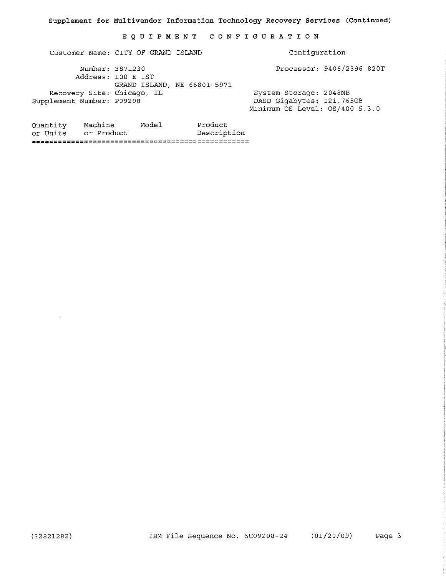#### EQUIPMENT CONFIGURATION

Customer Name: CITY OF GRAND ISLAND

Configuration

Processor: 9406/2396 820T

Number: 3871230 Address: 100 E 1ST GRAND ISLAND, NE 68801-5971 Recovery Site: Chicago, IL Supplement Number: P09208

System Storage: 2048MB DASD Gigabytes: 121.765GB Minimum OS Level: OS/400 5.3.0

Model Quantity Machine Product or Units or Product Description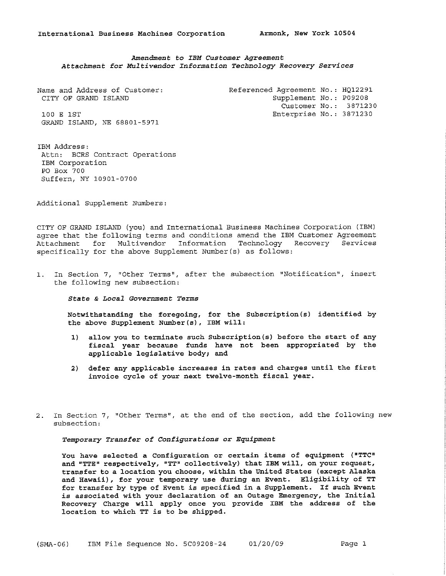#### Amendment to IBM Customer Agreement Attachment for Multivendor Information Technology Recovery Services

| Name and Address of Customer: | Referenced Agreement No.: HQ12291 |  |
|-------------------------------|-----------------------------------|--|
| CITY OF GRAND ISLAND          | Supplement No.: P09208            |  |
|                               | Customer No.: 3871230             |  |
| 100 E 1ST                     | Enterprise No.: 3871230           |  |
| GRAND ISLAND, NE 68801-5971   |                                   |  |

IBM Address: Attn: BCRS Contract Operations IBM Corporation PO Box 700 Suffern, NY 10901-0700

Additional Supplement Numbers:

CITY OF GRAND ISLAND (you) and International Business Machines Corporation (IBM) agree that the following terms and conditions amend the IBM Customer Agreement Attachment for Multivendor Information Technology Recovery Services specifically for the above Supplement Number(s) as follows:

1. In Section 7, "Other Terms", after the subsection "Notification", insert the following new subsection:

State & Local Government Terms

Notwithstanding the foregoing, for the Subscription (s) identified by the above Supplement Number (s), IBM will:

- 1) allow you to terminate such Subscription(s) before the start of any fiscal year because funds have not been appropriated by the applicable legislative body; and
- 2) defer any applicable increases in rates and charges until the first invoice cycle of your next twelve-month fiscal year.
- 2. In Section 7, "Other Terms", at the end of the section, add the following new subsection:

Temporary Transfer of Configurations or Equipment

You have selected a Configuration or certain items of equipment ("TTC" and "TTE" respectively, "TT" collectively) that IBM will, on your request, transfer to a location you choose, within the United States (except Alaska and Hawaii), for your temporary use during an Event. Eligibility of TT for transfer by type of Event is specified in a Supplement. If such Event is associated with your declaration of an Outage Emergency, the Initial Recovery Charge will apply once you provide IBM the address of the location to which TT is to be shipped.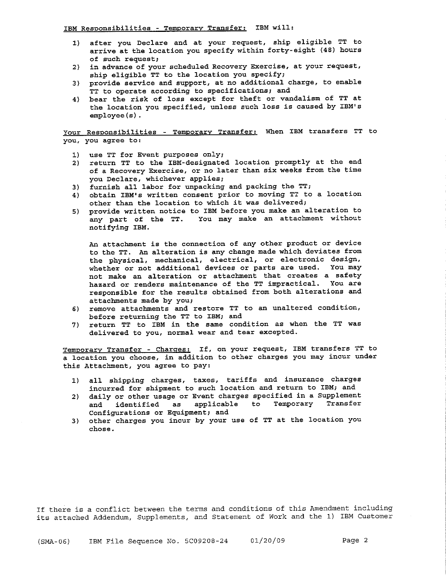- 1) after you Declare and at your request, ship eligible TT to arrive at the location you specify within forty-eight (48) hours of such request;
- 2) in advance of your scheduled Recovery Exercise, at your request, ship eligible TT to the location you specify;
- 3) provide service and support, at no additional charge, to enable TT to operate according to specifications; and
- 4) bear the risk of loss except for theft or vandalism of TT at the location you specified, unless such loss is caused by IBM's  $emplove(s)$ .

Your Responsibilities - Temporary Transfer: When IBM transfers TT to you, you agree to:

- 1) use TT for Event purposes only;
- 2) return TT to the IBM-designated location promptly at the end of a Recovery Exercise, or no later than six weeks from the time you Declare, whichever applies;
- 3) furnish all labor for unpacking and packing the TT;
- 4) obtain IBM's written consent prior to moving TT to a location other than the location to which it was delivered;
- 5) provide written notice to IBM before you make an alteration to any part of the TT. You may make an attachment without notifying IBM.

An attachment is the connection of any other product or device to the TT. An alteration is any change made which deviates from the physical, mechanical, electrical, or electronic design, whether or not additional devices or parts are used. You may not make an alteration or attachment that creates a safety hazard or renders maintenance of the TT impractical. You are responsible for the results obtained from both alterations and attachments made by you;

- 6) remove attachments and restore TT to an unaltered condition, before returning the TT to IBM; and
- 7) return TT to IBM in the same condition as when the TT was delivered to you, normal wear and tear excepted.

Temporary Transfer - Charges: If, on your request, IBM transfers TT to a location you choose, in addition to other charges you may incur under this Attachment, you agree to pay:

- 1) all shipping charges, taxes, tariffs and insurance charges incurred for shipment to such location and return to IBM; and
- daily or other usage or Event charges specified in a Supplement  $2)$ and identified as applicable to Temporary Transfer Configurations or Equipment; and
- 3) other charges you incur by your use of TT at the location you chose.

If there is a conflict between the terms and conditions of this Amendment including its attached Addendum, Supplements, and Statement of Work and the 1) IBM Customer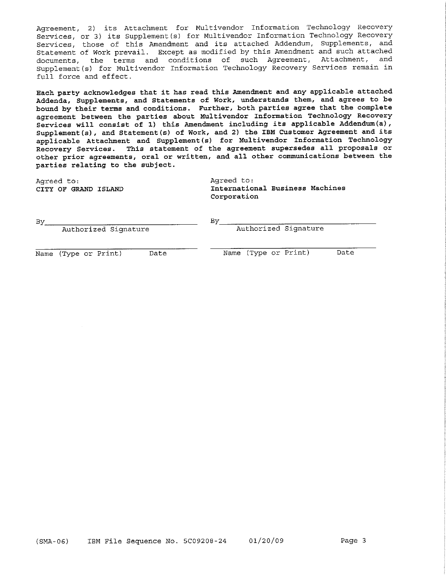Agreement, 2) its Attachment for Multivendor Information Technology Recovery Services, or 3) its Supplement(s) for Multivendor Information Technology Recovery Services, those of this Amendment and its attached Addendum, Supplements, and Statement of Work prevail. Except as modified by this Amendment and such attached documents, the terms and conditions of such Agreement, Attachment, and Supplement (s) for Multivendor Information Technology Recovery Services remain in full force and effect.

Each party acknowledges that it has read this Amendment and any applicable attached Addenda, Supplements, and Statements of Work, understands them, and agrees to be bound by their terms and conditions. Further, both parties agree that the complete agreement between the parties about Multivendor Information Technology Recovery Services will consist of 1) this Amendment including its applicable Addendum(a), Supplement(s), and Statement(s) of Work, and 2) the IBM Customer Agreement and its applicable Attachment and Supplement(s) for Multivendor Information Technology Recovery Services. This statement of the agreement supersedes all proposals or other prior agreements, oral or written, and all other communications between the parties relating to the subject.

Agreed to: CITY OF GRAND ISLAND Agreed to: International Business Machines Corporation

| Bv                   |      |
|----------------------|------|
| Authorized Signature |      |
| Name (Type or Print) | Date |
|                      |      |